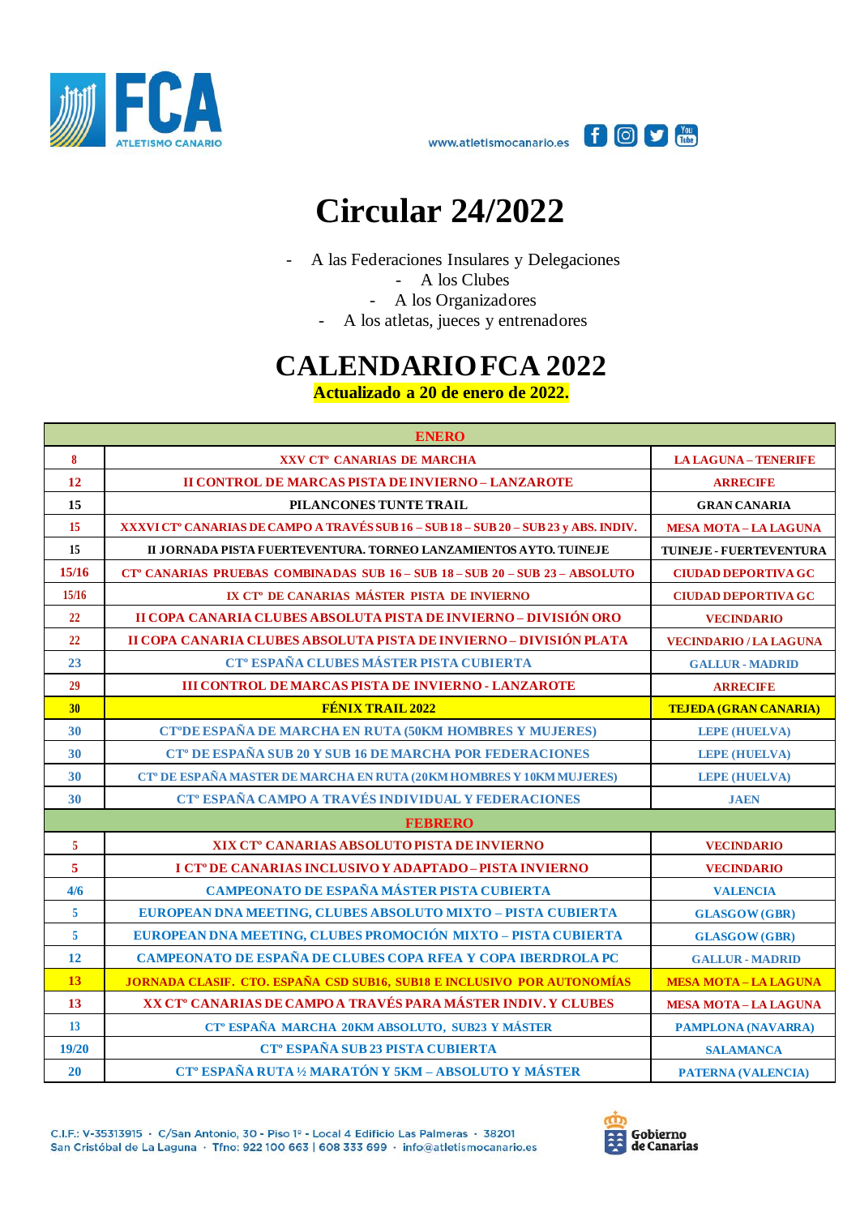



## **Circular 24/2022**

- A las Federaciones Insulares y Delegaciones

- A los Clubes

- A los Organizadores

- A los atletas, jueces y entrenadores

## **CALENDARIO FCA 2022**

**Actualizado a 20 de enero de 2022.**

| <b>ENERO</b>   |                                                                                          |                                |  |
|----------------|------------------------------------------------------------------------------------------|--------------------------------|--|
| 8              | XXV CT <sup>°</sup> CANARIAS DE MARCHA                                                   | <b>LA LAGUNA - TENERIFE</b>    |  |
| 12             | <b>II CONTROL DE MARCAS PISTA DE INVIERNO - LANZAROTE</b>                                | <b>ARRECIFE</b>                |  |
| 15             | PILANCONES TUNTE TRAIL                                                                   | <b>GRAN CANARIA</b>            |  |
| 15             | XXXVI CT° CANARIAS DE CAMPO A TRAVÉS SUB 16 - SUB 18 - SUB 20 - SUB 23 y ABS. INDIV.     | <b>MESA MOTA-LA LAGUNA</b>     |  |
| 15             | II JORNADA PISTA FUERTEVENTURA. TORNEO LANZAMIENTOS AYTO. TUINEJE                        | <b>TUINEJE - FUERTEVENTURA</b> |  |
| 15/16          | CT <sup>°</sup> CANARIAS PRUEBAS COMBINADAS SUB 16 - SUB 18 - SUB 20 - SUB 23 - ABSOLUTO | <b>CIUDAD DEPORTIVA GC</b>     |  |
| 15/16          | IX CT <sup>°</sup> DE CANARIAS MÁSTER PISTA DE INVIERNO                                  | <b>CIUDAD DEPORTIVA GC</b>     |  |
| 22             | II COPA CANARIA CLUBES ABSOLUTA PISTA DE INVIERNO - DIVISIÓN ORO                         | <b>VECINDARIO</b>              |  |
| 22             | II COPA CANARIA CLUBES ABSOLUTA PISTA DE INVIERNO - DIVISIÓN PLATA                       | <b>VECINDARIO / LA LAGUNA</b>  |  |
| 23             | CT <sup>°</sup> ESPAÑA CLUBES MÁSTER PISTA CUBIERTA                                      | <b>GALLUR - MADRID</b>         |  |
| 29             | <b>III CONTROL DE MARCAS PISTA DE INVIERNO - LANZAROTE</b>                               | <b>ARRECIFE</b>                |  |
| 30             | <b>FÉNIX TRAIL 2022</b>                                                                  | <b>TEJEDA (GRAN CANARIA)</b>   |  |
| 30             | CT°DE ESPAÑA DE MARCHA EN RUTA (50KM HOMBRES Y MUJERES)                                  | <b>LEPE (HUELVA)</b>           |  |
| 30             | CT <sup>°</sup> DE ESPAÑA SUB 20 Y SUB 16 DE MARCHA POR FEDERACIONES                     | <b>LEPE (HUELVA)</b>           |  |
| 30             | CT <sup>°</sup> DE ESPAÑA MASTER DE MARCHA EN RUTA (20KM HOMBRES Y 10KM MUJERES)         | <b>LEPE (HUELVA)</b>           |  |
| 30             | CT <sup>°</sup> ESPAÑA CAMPO A TRAVÉS INDIVIDUAL Y FEDERACIONES                          | <b>JAEN</b>                    |  |
|                | <b>FEBRERO</b>                                                                           |                                |  |
| $\overline{5}$ | XIX CT <sup>°</sup> CANARIAS ABSOLUTO PISTA DE INVIERNO                                  | <b>VECINDARIO</b>              |  |
| $\overline{5}$ | I CT <sup>°</sup> DE CANARIAS INCLUSIVO Y ADAPTADO - PISTA INVIERNO                      | <b>VECINDARIO</b>              |  |
| 4/6            | CAMPEONATO DE ESPAÑA MÁSTER PISTA CUBIERTA                                               | <b>VALENCIA</b>                |  |
| $\overline{5}$ | EUROPEAN DNA MEETING, CLUBES ABSOLUTO MIXTO - PISTA CUBIERTA                             | <b>GLASGOW</b> (GBR)           |  |
| $\overline{5}$ | EUROPEAN DNA MEETING, CLUBES PROMOCIÓN MIXTO - PISTA CUBIERTA                            | <b>GLASGOW (GBR)</b>           |  |
| 12             | CAMPEONATO DE ESPAÑA DE CLUBES COPA RFEA Y COPA IBERDROLA PC                             | <b>GALLUR - MADRID</b>         |  |
| 13             | JORNADA CLASIF. CTO. ESPAÑA CSD SUB16, SUB18 E INCLUSIVO POR AUTONOMÍAS                  | <b>MESA MOTA-LA LAGUNA</b>     |  |
| 13             | XX CT <sup>°</sup> CANARIAS DE CAMPO A TRAVÉS PARA MÁSTER INDIV. Y CLUBES                | <b>MESA MOTA-LA LAGUNA</b>     |  |
| 13             | CT <sup>°</sup> ESPAÑA MARCHA 20KM ABSOLUTO, SUB23 Y MÁSTER                              | <b>PAMPLONA (NAVARRA)</b>      |  |
| 19/20          | CT <sup>°</sup> ESPAÑA SUB 23 PISTA CUBIERTA                                             | <b>SALAMANCA</b>               |  |
| 20             | CT <sup>°</sup> ESPAÑA RUTA 1/2 MARATÓN Y 5KM - ABSOLUTO Y MÁSTER                        | <b>PATERNA (VALENCIA)</b>      |  |

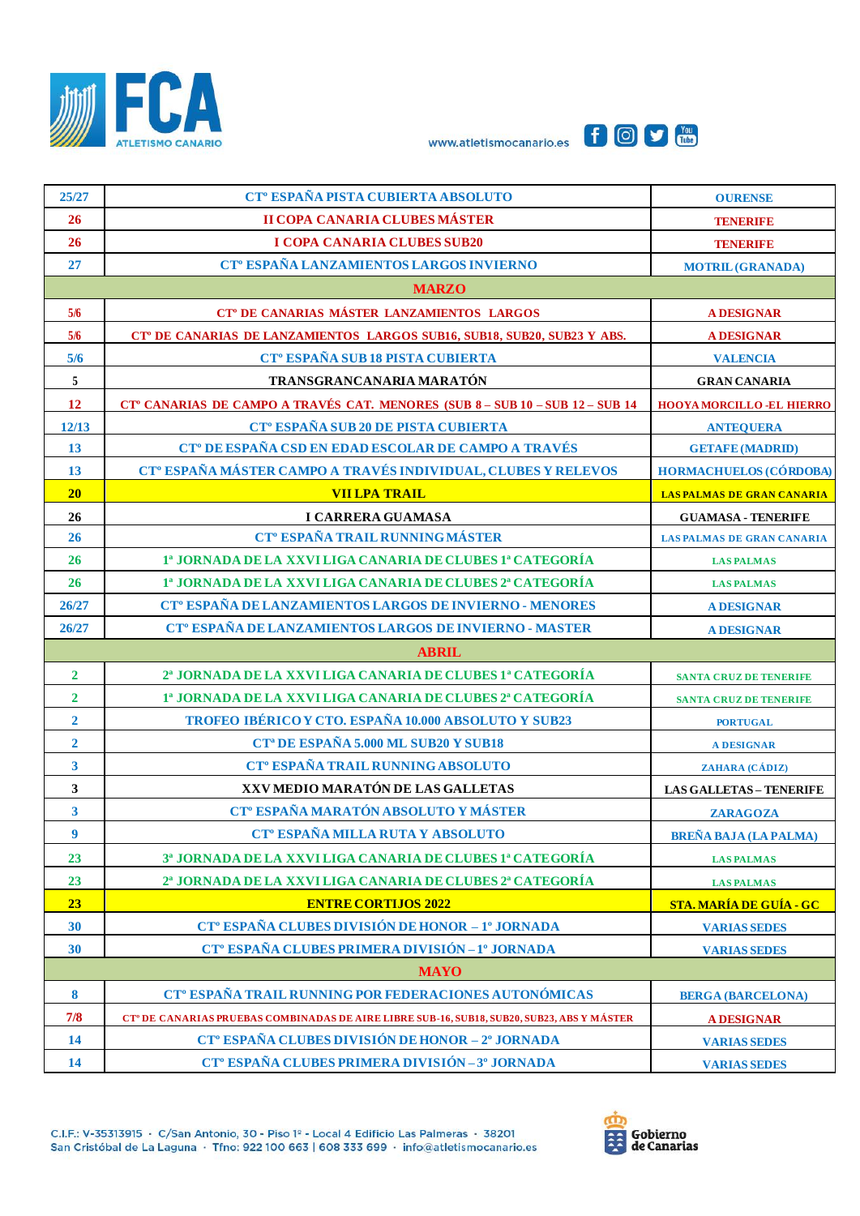





| 25/27                   | CT <sup>°</sup> ESPAÑA PISTA CUBIERTA ABSOLUTO                                                         | <b>OURENSE</b>                    |  |
|-------------------------|--------------------------------------------------------------------------------------------------------|-----------------------------------|--|
| 26                      | <b>II COPA CANARIA CLUBES MÁSTER</b>                                                                   | <b>TENERIFE</b>                   |  |
| 26                      | <b>I COPA CANARIA CLUBES SUB20</b>                                                                     | <b>TENERIFE</b>                   |  |
| 27                      | CT <sup>°</sup> ESPAÑA LANZAMIENTOS LARGOS INVIERNO                                                    | <b>MOTRIL (GRANADA)</b>           |  |
| <b>MARZO</b>            |                                                                                                        |                                   |  |
| 5/6                     | CT <sup>°</sup> DE CANARIAS MÁSTER LANZAMIENTOS LARGOS                                                 | <b>A DESIGNAR</b>                 |  |
| 5/6                     | CT <sup>®</sup> DE CANARIAS DE LANZAMIENTOS LARGOS SUB16, SUB18, SUB20, SUB23 Y ABS.                   | <b>A DESIGNAR</b>                 |  |
| 5/6                     | CT <sup>°</sup> ESPAÑA SUB 18 PISTA CUBIERTA                                                           | <b>VALENCIA</b>                   |  |
| $\sqrt{5}$              | TRANSGRANCANARIA MARATÓN                                                                               | <b>GRAN CANARIA</b>               |  |
| 12                      | CT <sup>°</sup> CANARIAS DE CAMPO A TRAVÉS CAT. MENORES (SUB 8 - SUB 10 - SUB 12 - SUB 14              | <b>HOOYA MORCILLO -EL HIERRO</b>  |  |
| 12/13                   | CT <sup>°</sup> ESPAÑA SUB 20 DE PISTA CUBIERTA                                                        | <b>ANTEQUERA</b>                  |  |
| 13                      | CT <sup>°</sup> DE ESPAÑA CSD EN EDAD ESCOLAR DE CAMPO A TRAVÉS                                        | <b>GETAFE (MADRID)</b>            |  |
| 13                      | CT <sup>®</sup> ESPAÑA MÁSTER CAMPO A TRAVÉS INDIVIDUAL, CLUBES Y RELEVOS                              | <b>HORMACHUELOS (CÓRDOBA)</b>     |  |
| 20                      | <b>VII LPA TRAIL</b>                                                                                   | LAS PALMAS DE GRAN CANARIA        |  |
| 26                      | <b>I CARRERA GUAMASA</b>                                                                               | <b>GUAMASA - TENERIFE</b>         |  |
| 26                      | CT <sup>°</sup> ESPAÑA TRAIL RUNNING MÁSTER                                                            | <b>LAS PALMAS DE GRAN CANARIA</b> |  |
| 26                      | 1ª JORNADA DE LA XXVI LIGA CANARIA DE CLUBES 1ª CATEGORÍA                                              | <b>LAS PALMAS</b>                 |  |
| 26                      | 1ª JORNADA DE LA XXVI LIGA CANARIA DE CLUBES 2ª CATEGORÍA                                              | <b>LAS PALMAS</b>                 |  |
| 26/27                   | CT <sup>°</sup> ESPAÑA DE LANZAMIENTOS LARGOS DE INVIERNO - MENORES                                    | <b>A DESIGNAR</b>                 |  |
| 26/27                   | CT <sup>°</sup> ESPAÑA DE LANZAMIENTOS LARGOS DE INVIERNO - MASTER                                     | <b>A DESIGNAR</b>                 |  |
|                         | <b>ABRIL</b>                                                                                           |                                   |  |
| $\overline{2}$          | 2ª JORNADA DE LA XXVI LIGA CANARIA DE CLUBES 1ª CATEGORÍA                                              | <b>SANTA CRUZ DE TENERIFE</b>     |  |
| $\mathbf{2}$            | 1ª JORNADA DE LA XXVI LIGA CANARIA DE CLUBES 2ª CATEGORÍA                                              | <b>SANTA CRUZ DE TENERIFE</b>     |  |
| $\overline{2}$          | TROFEO IBÉRICO Y CTO. ESPAÑA 10.000 ABSOLUTO Y SUB23                                                   | <b>PORTUGAL</b>                   |  |
| $\overline{2}$          | <b>CT<sup>a</sup> DE ESPAÑA 5.000 ML SUB20 Y SUB18</b>                                                 | <b>A DESIGNAR</b>                 |  |
| $\overline{\mathbf{3}}$ | <b>CT<sup>°</sup> ESPAÑA TRAIL RUNNING ABSOLUTO</b>                                                    | ZAHARA (CÁDIZ)                    |  |
| $\mathbf{3}$            | XXV MEDIO MARATÓN DE LAS GALLETAS                                                                      | <b>LAS GALLETAS - TENERIFE</b>    |  |
| $\overline{\mathbf{3}}$ | CT <sup>°</sup> ESPAÑA MARATÓN ABSOLUTO Y MÁSTER                                                       | <b>ZARAGOZA</b>                   |  |
| $\boldsymbol{9}$        | CT <sup>°</sup> ESPAÑA MILLA RUTA Y ABSOLUTO                                                           | <b>BREÑA BAJA (LA PALMA)</b>      |  |
| 23                      | 3ª JORNADA DE LA XXVI LIGA CANARIA DE CLUBES 1ª CATEGORÍA                                              | <b>LAS PALMAS</b>                 |  |
| 23                      | 2ª JORNADA DE LA XXVI LIGA CANARIA DE CLUBES 2ª CATEGORÍA                                              | <b>LAS PALMAS</b>                 |  |
| 23                      | <b>ENTRE CORTIJOS 2022</b>                                                                             | STA. MARÍA DE GUÍA - GC           |  |
| 30                      | CT <sup>°</sup> ESPAÑA CLUBES DIVISIÓN DE HONOR - 1º JORNADA                                           | <b>VARIAS SEDES</b>               |  |
| 30                      | CT <sup>°</sup> ESPAÑA CLUBES PRIMERA DIVISIÓN-1° JORNADA                                              | <b>VARIAS SEDES</b>               |  |
| <b>MAYO</b>             |                                                                                                        |                                   |  |
| 8                       | CT <sup>°</sup> ESPAÑA TRAIL RUNNING POR FEDERACIONES AUTONÓMICAS                                      | <b>BERGA (BARCELONA)</b>          |  |
| 7/8                     | CT <sup>®</sup> DE CANARIAS PRUEBAS COMBINADAS DE AIRE LIBRE SUB-16, SUB18, SUB20, SUB23, ABS Y MÁSTER | <b>A DESIGNAR</b>                 |  |
| <b>14</b>               | <b>CT<sup>°</sup> ESPAÑA CLUBES DIVISIÓN DE HONOR - 2° JORNADA</b>                                     | <b>VARIAS SEDES</b>               |  |
| 14                      | CT <sup>°</sup> ESPAÑA CLUBES PRIMERA DIVISIÓN-3 <sup>°</sup> JORNADA                                  | <b>VARIAS SEDES</b>               |  |

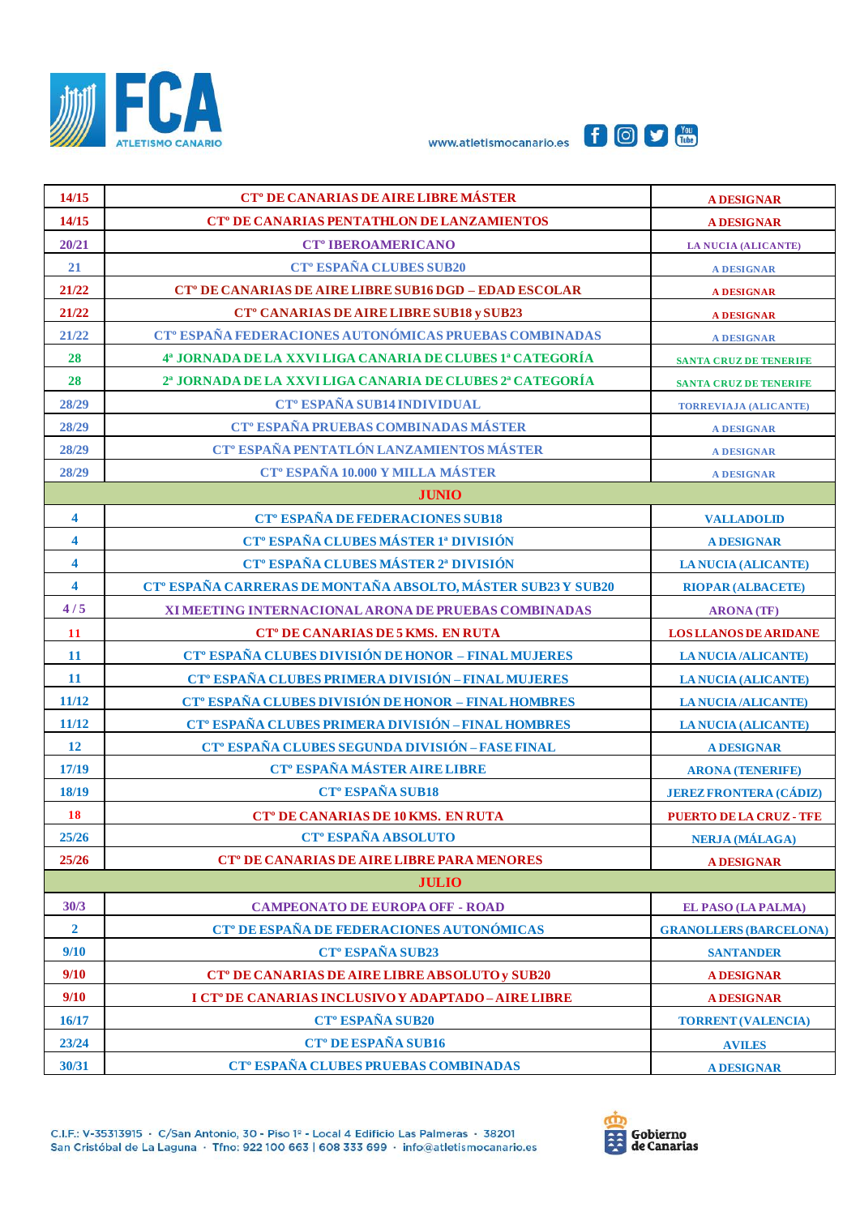





| 14/15                   | CT <sup>°</sup> DE CANARIAS DE AIRE LIBRE MÁSTER                         | <b>A DESIGNAR</b>              |  |  |
|-------------------------|--------------------------------------------------------------------------|--------------------------------|--|--|
| 14/15                   | <b>CT<sup>°</sup> DE CANARIAS PENTATHLON DE LANZAMIENTOS</b>             | <b>A DESIGNAR</b>              |  |  |
| 20/21                   | <b>CT<sup>°</sup> IBEROAMERICANO</b>                                     | <b>LA NUCIA (ALICANTE)</b>     |  |  |
| 21                      | <b>CT<sup>°</sup> ESPAÑA CLUBES SUB20</b>                                | <b>A DESIGNAR</b>              |  |  |
| 21/22                   | <b>CT<sup>°</sup> DE CANARIAS DE AIRE LIBRE SUB16 DGD - EDAD ESCOLAR</b> | <b>A DESIGNAR</b>              |  |  |
| 21/22                   | CT <sup>°</sup> CANARIAS DE AIRE LIBRE SUB18 y SUB23                     | <b>A DESIGNAR</b>              |  |  |
| 21/22                   | CT <sup>°</sup> ESPAÑA FEDERACIONES AUTONÓMICAS PRUEBAS COMBINADAS       | <b>A DESIGNAR</b>              |  |  |
| 28                      | 4ª JORNADA DE LA XXVI LIGA CANARIA DE CLUBES 1ª CATEGORÍA                | <b>SANTA CRUZ DE TENERIFE</b>  |  |  |
| 28                      | 2ª JORNADA DE LA XXVI LIGA CANARIA DE CLUBES 2ª CATEGORÍA                | <b>SANTA CRUZ DE TENERIFE</b>  |  |  |
| 28/29                   | <b>CT° ESPAÑA SUB14 INDIVIDUAL</b>                                       | <b>TORREVIAJA (ALICANTE)</b>   |  |  |
| 28/29                   | CT <sup>°</sup> ESPAÑA PRUEBAS COMBINADAS MÁSTER                         | <b>A DESIGNAR</b>              |  |  |
| 28/29                   | CT <sup>°</sup> ESPAÑA PENTATLÓN LANZAMIENTOS MÁSTER                     | <b>A DESIGNAR</b>              |  |  |
| 28/29                   | <b>CT<sup>°</sup> ESPAÑA 10.000 Y MILLA MÁSTER</b>                       | <b>A DESIGNAR</b>              |  |  |
|                         | <b>JUNIO</b>                                                             |                                |  |  |
| $\overline{\mathbf{4}}$ | <b>CT<sup>°</sup> ESPAÑA DE FEDERACIONES SUB18</b>                       | <b>VALLADOLID</b>              |  |  |
| $\overline{\mathbf{4}}$ | CT <sup>°</sup> ESPAÑA CLUBES MÁSTER 1ª DIVISIÓN                         | <b>A DESIGNAR</b>              |  |  |
| $\overline{\mathbf{4}}$ | CT <sup>°</sup> ESPAÑA CLUBES MÁSTER 2ª DIVISIÓN                         | <b>LA NUCIA (ALICANTE)</b>     |  |  |
| $\overline{\mathbf{4}}$ | CT <sup>°</sup> ESPAÑA CARRERAS DE MONTAÑA ABSOLTO, MÁSTER SUB23 Y SUB20 | <b>RIOPAR (ALBACETE)</b>       |  |  |
| 4/5                     | XI MEETING INTERNACIONAL ARONA DE PRUEBAS COMBINADAS                     | <b>ARONA</b> (TF)              |  |  |
| <b>11</b>               | CT <sup>°</sup> DE CANARIAS DE 5 KMS. EN RUTA                            | <b>LOS LLANOS DE ARIDANE</b>   |  |  |
| $11\,$                  | CT <sup>°</sup> ESPAÑA CLUBES DIVISIÓN DE HONOR - FINAL MUJERES          | <b>LA NUCIA /ALICANTE)</b>     |  |  |
| <b>11</b>               | CT <sup>°</sup> ESPAÑA CLUBES PRIMERA DIVISIÓN - FINAL MUJERES           | <b>LA NUCIA (ALICANTE)</b>     |  |  |
| 11/12                   | CT <sup>°</sup> ESPAÑA CLUBES DIVISIÓN DE HONOR - FINAL HOMBRES          | <b>LA NUCIA /ALICANTE)</b>     |  |  |
| 11/12                   | CT <sup>°</sup> ESPAÑA CLUBES PRIMERA DIVISIÓN - FINAL HOMBRES           | <b>LA NUCIA (ALICANTE)</b>     |  |  |
| <b>12</b>               | CT <sup>°</sup> ESPAÑA CLUBES SEGUNDA DIVISIÓN - FASE FINAL              | <b>A DESIGNAR</b>              |  |  |
| 17/19                   | <b>CT<sup>°</sup> ESPAÑA MÁSTER AIRE LIBRE</b>                           | <b>ARONA (TENERIFE)</b>        |  |  |
| 18/19                   | <b>CT<sup>°</sup> ESPAÑA SUB18</b>                                       | <b>JEREZ FRONTERA (CÁDIZ)</b>  |  |  |
| <b>18</b>               | <b>CT<sup>°</sup> DE CANARIAS DE 10 KMS. EN RUTA</b>                     | <b>PUERTO DE LA CRUZ - TFE</b> |  |  |
| 25/26                   | CT <sup>°</sup> ESPAÑA ABSOLUTO                                          | <b>NERJA (MÁLAGA)</b>          |  |  |
| 25/26                   | <b>CT<sup>°</sup> DE CANARIAS DE AIRE LIBRE PARA MENORES</b>             | <b>A DESIGNAR</b>              |  |  |
| <b>JULIO</b>            |                                                                          |                                |  |  |
| 30/3                    | <b>CAMPEONATO DE EUROPA OFF - ROAD</b>                                   | <b>EL PASO (LA PALMA)</b>      |  |  |
| $\overline{2}$          | CT <sup>°</sup> DE ESPAÑA DE FEDERACIONES AUTONÓMICAS                    | <b>GRANOLLERS (BARCELONA)</b>  |  |  |
| 9/10                    | <b>CT<sup>°</sup> ESPAÑA SUB23</b>                                       | <b>SANTANDER</b>               |  |  |
| 9/10                    | CT <sup>°</sup> DE CANARIAS DE AIRE LIBRE ABSOLUTO y SUB20               | <b>A DESIGNAR</b>              |  |  |
| 9/10                    | I CT° DE CANARIAS INCLUSIVO Y ADAPTADO-AIRE LIBRE                        | <b>A DESIGNAR</b>              |  |  |
| 16/17                   | <b>CT<sup>°</sup> ESPAÑA SUB20</b>                                       | <b>TORRENT (VALENCIA)</b>      |  |  |
| 23/24                   | CT <sup>o</sup> DE ESPAÑA SUB16                                          | <b>AVILES</b>                  |  |  |
| 30/31                   | CT <sup>°</sup> ESPAÑA CLUBES PRUEBAS COMBINADAS                         | <b>A DESIGNAR</b>              |  |  |